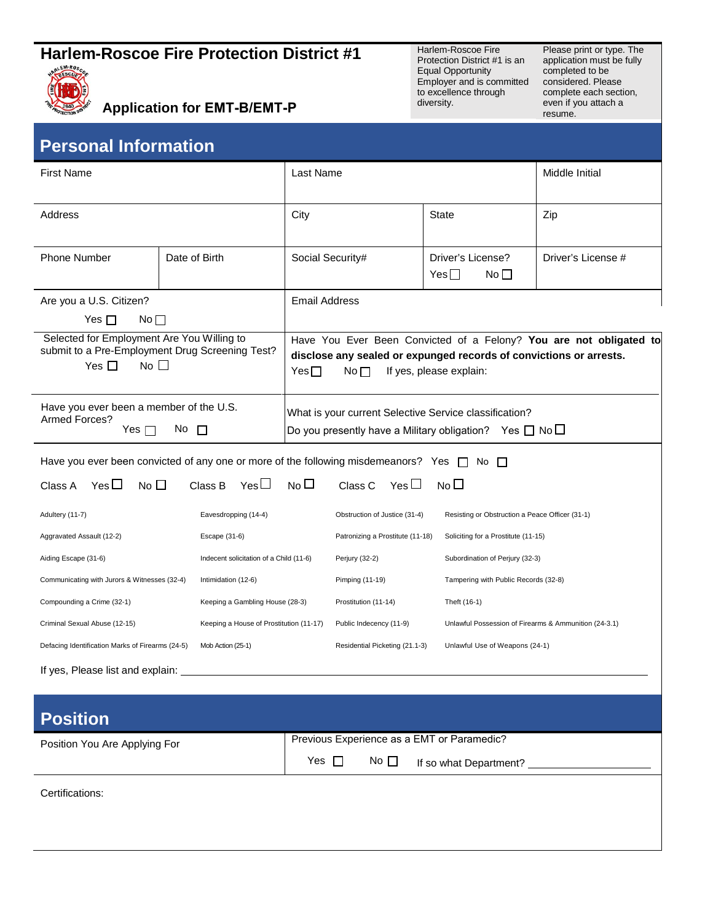## **Harlem-Roscoe Fire Protection District #1** Harlem-Roscoe Fire



Application for **EMT-B/EMT-P** diversity. **and a set of the second for <b>EMT-B/EMT-P** diversity.

Protection District #1 is an Equal Opportunity Employer and is committed to excellence through diversity.

Please print or type. The application must be fully completed to be considered. Please complete each section,<br>even if you attach a

| <b>Personal Information</b> |  |
|-----------------------------|--|
|                             |  |

| <b>First Name</b>                                                                                                             |                                         | Last Name                                                                                                                                                                                      |                | Middle Initial                                    |                                                       |                    |
|-------------------------------------------------------------------------------------------------------------------------------|-----------------------------------------|------------------------------------------------------------------------------------------------------------------------------------------------------------------------------------------------|----------------|---------------------------------------------------|-------------------------------------------------------|--------------------|
| Address                                                                                                                       |                                         | City                                                                                                                                                                                           |                | State                                             | Zip                                                   |                    |
| <b>Phone Number</b>                                                                                                           |                                         | Date of Birth                                                                                                                                                                                  |                | Social Security#                                  | Driver's License?<br>$Yes \Box$<br>No $\Box$          | Driver's License # |
| Are you a U.S. Citizen?<br>Yes $\Box$<br>$No \Box$                                                                            |                                         | <b>Email Address</b>                                                                                                                                                                           |                |                                                   |                                                       |                    |
| Selected for Employment Are You Willing to<br>submit to a Pre-Employment Drug Screening Test?<br>Yes $\square$<br>$No$ $\Box$ |                                         | Have You Ever Been Convicted of a Felony? You are not obligated to<br>disclose any sealed or expunged records of convictions or arrests.<br>$Yes \Box$<br>If yes, please explain:<br>No $\Box$ |                |                                                   |                                                       |                    |
| Have you ever been a member of the U.S.<br>Armed Forces?<br>No $\square$<br>Yes $\Box$                                        |                                         | What is your current Selective Service classification?<br>Do you presently have a Military obligation? Yes $\Box$ No $\Box$                                                                    |                |                                                   |                                                       |                    |
| Have you ever been convicted of any one or more of the following misdemeanors? Yes $\Box$ No $\Box$                           |                                         |                                                                                                                                                                                                |                |                                                   |                                                       |                    |
| Yes $\Box$<br>No $\Box$<br>Class A                                                                                            |                                         | $Yes \Box$<br>Class B                                                                                                                                                                          | N <sub>0</sub> | Yes $\Box$<br>Class C                             | No $\square$                                          |                    |
| Adultery (11-7)                                                                                                               |                                         | Eavesdropping (14-4)                                                                                                                                                                           |                | Obstruction of Justice (31-4)                     | Resisting or Obstruction a Peace Officer (31-1)       |                    |
| Aggravated Assault (12-2)                                                                                                     |                                         | Escape (31-6)                                                                                                                                                                                  |                | Patronizing a Prostitute (11-18)                  | Soliciting for a Prostitute (11-15)                   |                    |
| Aiding Escape (31-6)                                                                                                          | Indecent solicitation of a Child (11-6) |                                                                                                                                                                                                |                | Perjury (32-2)<br>Subordination of Perjury (32-3) |                                                       |                    |
| Communicating with Jurors & Witnesses (32-4)                                                                                  |                                         | Intimidation (12-6)                                                                                                                                                                            |                | Pimping (11-19)                                   | Tampering with Public Records (32-8)                  |                    |
| Compounding a Crime (32-1)                                                                                                    |                                         | Keeping a Gambling House (28-3)                                                                                                                                                                |                | Prostitution (11-14)                              | Theft (16-1)                                          |                    |
| Criminal Sexual Abuse (12-15)                                                                                                 |                                         | Keeping a House of Prostitution (11-17)                                                                                                                                                        |                | Public Indecency (11-9)                           | Unlawful Possession of Firearms & Ammunition (24-3.1) |                    |
| Defacing Identification Marks of Firearms (24-5)                                                                              |                                         | Mob Action (25-1)                                                                                                                                                                              |                | Residential Picketing (21.1-3)                    | Unlawful Use of Weapons (24-1)                        |                    |
| If yes, Please list and explain:                                                                                              |                                         |                                                                                                                                                                                                |                |                                                   |                                                       |                    |
| <b>Position</b>                                                                                                               |                                         |                                                                                                                                                                                                |                |                                                   |                                                       |                    |
| Position You Are Applying For                                                                                                 |                                         |                                                                                                                                                                                                |                | Previous Experience as a EMT or Paramedic?        |                                                       |                    |

Yes  $\Box$  No  $\Box$  If so what Department?

Certifications: